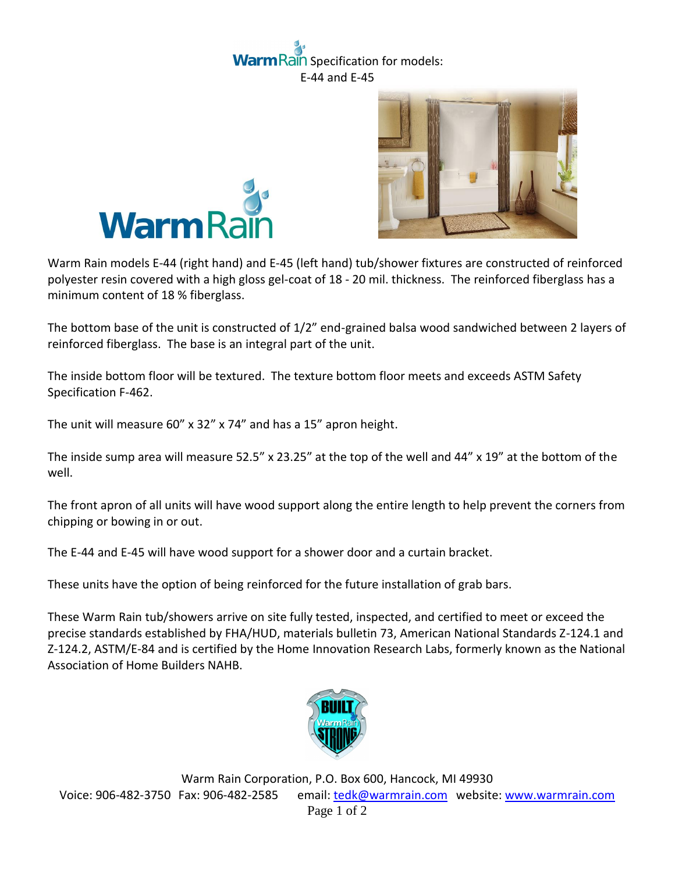## Rain Specification for models: E-44 and E-45





Warm Rain models E-44 (right hand) and E-45 (left hand) tub/shower fixtures are constructed of reinforced polyester resin covered with a high gloss gel-coat of 18 - 20 mil. thickness. The reinforced fiberglass has a minimum content of 18 % fiberglass.

The bottom base of the unit is constructed of 1/2" end-grained balsa wood sandwiched between 2 layers of reinforced fiberglass. The base is an integral part of the unit.

The inside bottom floor will be textured. The texture bottom floor meets and exceeds ASTM Safety Specification F-462.

The unit will measure 60" x 32" x 74" and has a 15" apron height.

The inside sump area will measure 52.5" x 23.25" at the top of the well and 44" x 19" at the bottom of the well.

The front apron of all units will have wood support along the entire length to help prevent the corners from chipping or bowing in or out.

The E-44 and E-45 will have wood support for a shower door and a curtain bracket.

These units have the option of being reinforced for the future installation of grab bars.

These Warm Rain tub/showers arrive on site fully tested, inspected, and certified to meet or exceed the precise standards established by FHA/HUD, materials bulletin 73, American National Standards Z-124.1 and Z-124.2, ASTM/E-84 and is certified by the Home Innovation Research Labs, formerly known as the National Association of Home Builders NAHB.